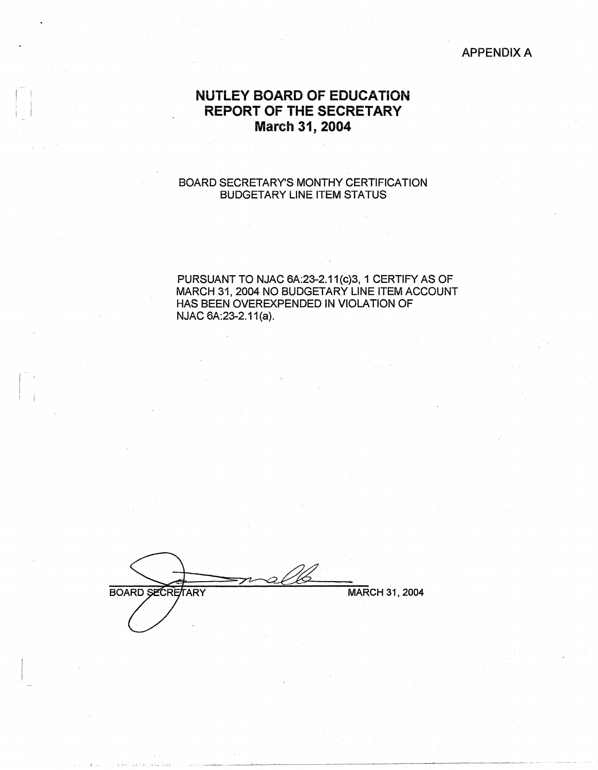#### APPENDIX A

## **NUTLEY BOARD OF EDUCATION REPORT OF THE SECRETARY March 31, 2004**

#### BOARD SECRETARY'S MONTHY CERTIFICATION BUDGETARY LINE ITEM STATUS

PURSUANT TO NJAC 6A:23-2.11(c)3, 1 CERTIFY AS OF MARCH 31, 2004 NO BUDGETARY LINE ITEM ACCOUNT HAS BEEN OVEREXPENDED IN VIOLATION OF NJAC 6A:23-2.11(a).

BOARD SECRETARY MARCH 31, 2004

 $\vert$   $\vert$   $\vert$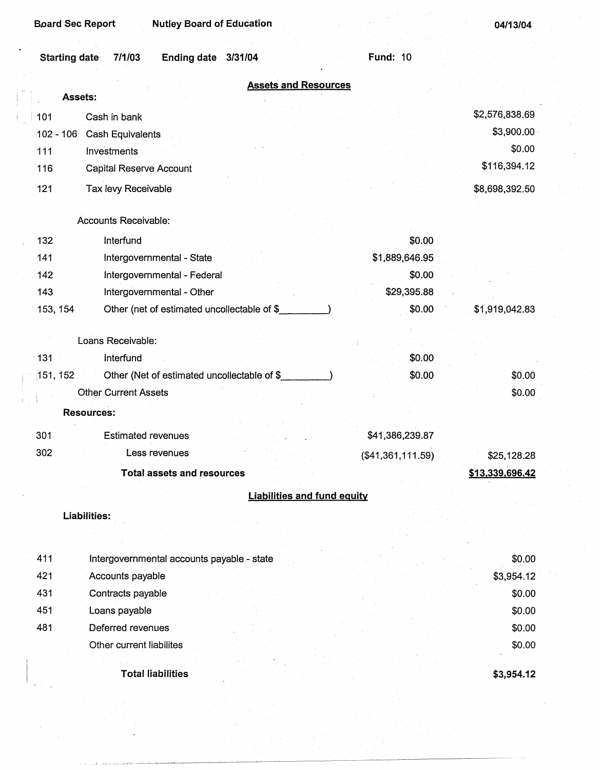| 04/13/04 |  |
|----------|--|
|----------|--|

| <b>Starting date</b> | 7/1/03<br><b>Ending date</b><br>3/31/04     | <b>Fund: 10</b>   |                 |
|----------------------|---------------------------------------------|-------------------|-----------------|
|                      | <b>Assets and Resources</b>                 |                   |                 |
|                      | Assets:                                     |                   |                 |
| 101                  | Cash in bank                                |                   | \$2,576,838.69  |
| $102 - 106$          | Cash Equivalents                            |                   | \$3,900.00      |
| 111                  | Investments                                 |                   | \$0.00          |
| 116                  | <b>Capital Reserve Account</b>              |                   | \$116,394.12    |
| 121                  | Tax levy Receivable                         |                   | \$8,698,392.50  |
|                      | <b>Accounts Receivable:</b>                 |                   |                 |
| 132                  | Interfund                                   | \$0.00            |                 |
| 141                  | Intergovernmental - State                   | \$1,889,646.95    |                 |
| 142                  | Intergovernmental - Federal                 | \$0.00            |                 |
| 143                  | Intergovernmental - Other                   | \$29,395.88       |                 |
| 153, 154             | Other (net of estimated uncollectable of \$ | \$0.00            | \$1,919,042.83  |
|                      | Loans Receivable:                           |                   |                 |
| 131                  | Interfund                                   | \$0.00            |                 |
| 151, 152             | Other (Net of estimated uncollectable of \$ | \$0.00            | \$0.00          |
|                      | <b>Other Current Assets</b>                 |                   | \$0.00          |
|                      | <b>Resources:</b>                           |                   |                 |
| $301 -$              | <b>Estimated revenues</b>                   | \$41,386,239.87   |                 |
| 302                  | Less revenues                               | (\$41,361,111.59) | \$25,128.28     |
|                      | Total assets and resources                  |                   | \$13.339.696.42 |
|                      | <b>Liabilities and fund equity</b>          |                   |                 |
|                      | <b>Liabilities:</b>                         |                   |                 |
|                      |                                             |                   |                 |
| 411                  | Intergovernmental accounts payable - state  |                   | \$0.00          |
| 421                  | Accounts payable                            |                   | \$3,954.12      |
| 431                  | Contracts payable                           |                   | \$0.00          |
| 451                  | Loans payable                               |                   | \$0.00          |
| 481                  | Deferred revenues                           |                   | \$0.00          |
|                      | Other current liabilites                    |                   | \$0.00          |
|                      | <b>Total liabilities</b>                    |                   | \$3,954.12      |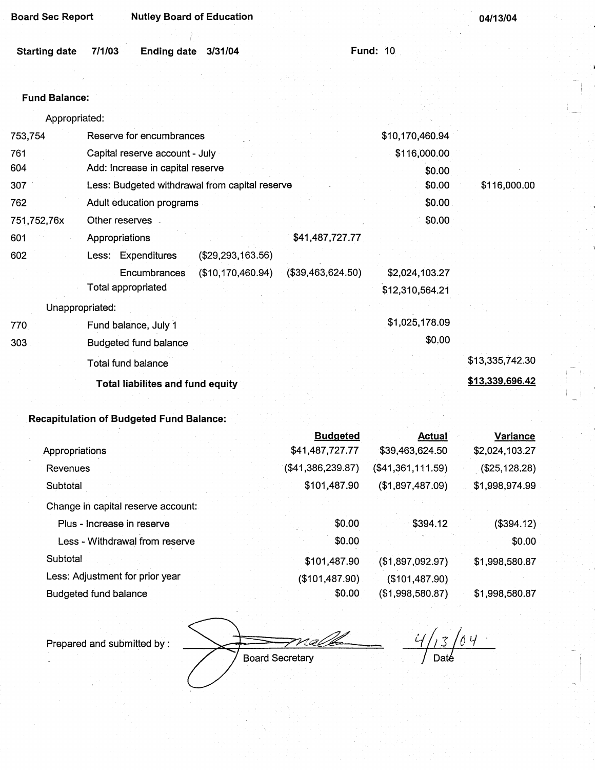| <b>Board Sec Report</b> |  |  |  |
|-------------------------|--|--|--|
|-------------------------|--|--|--|

**Nutley Board of Education** 

**04/13/04** 

Starting date 7/1/03 **Ending date 3/31/04 Fund:** 10 ..

#### Fund **Balance:**

|             | Appropriated:                                          |                 |                 |
|-------------|--------------------------------------------------------|-----------------|-----------------|
| 753,754     | Reserve for encumbrances                               | \$10,170,460.94 |                 |
| 761         | Capital reserve account - July                         | \$116,000.00    |                 |
| 604         | Add: Increase in capital reserve                       | \$0.00          |                 |
| 307         | Less: Budgeted withdrawal from capital reserve         | \$0.00          | \$116,000.00    |
| 762         | Adult education programs                               | \$0.00          |                 |
| 751,752,76x | Other reserves -                                       | \$0.00          |                 |
| 601         | \$41,487,727.77<br>Appropriations                      |                 |                 |
| 602         | Less: Expenditures<br>(\$29, 293, 163.56)              |                 |                 |
|             | (\$10,170,460.94)<br>(\$39,463,624.50)<br>Encumbrances | \$2,024,103.27  |                 |
|             | Total appropriated                                     | \$12,310,564.21 |                 |
|             | Unappropriated:                                        |                 |                 |
| 770         | Fund balance, July 1                                   | \$1,025,178.09  |                 |
| 303         | <b>Budgeted fund balance</b>                           | \$0.00          |                 |
|             | Total fund balance                                     |                 | \$13,335,742.30 |
|             | <b>Total liabilites and fund equity</b>                |                 | \$13,339,696.42 |
|             |                                                        |                 |                 |

### **Recapitulation of Budgeted Fund Balance:**

|                                    | <b>Budgeted</b>   | <b>Actual</b>     | <b>Variance</b> |
|------------------------------------|-------------------|-------------------|-----------------|
| Appropriations                     | \$41,487,727.77   | \$39,463,624.50   | \$2,024,103.27  |
| Revenues                           | (\$41,386,239.87) | (\$41,361,111.59) | (\$25,128.28)   |
| Subtotal                           | \$101,487.90      | (\$1,897,487.09)  | \$1,998,974.99  |
| Change in capital reserve account: |                   |                   |                 |
| Plus - Increase in reserve         | \$0.00            | \$394.12          | (\$394.12)      |
| Less - Withdrawal from reserve     | \$0.00            |                   | \$0.00          |
| Subtotal                           | \$101,487.90      | (\$1,897,092.97)  | \$1,998,580.87  |
| Less: Adjustment for prior year    | (\$101,487.90)    | (\$101,487.90)    |                 |
| Budgeted fund balance              | \$0.00            | (\$1,998,580.87)  | \$1,998,580.87  |

Prepared and submitted by :

 $13/04$  $4/$  $Date$ 

Board Secretary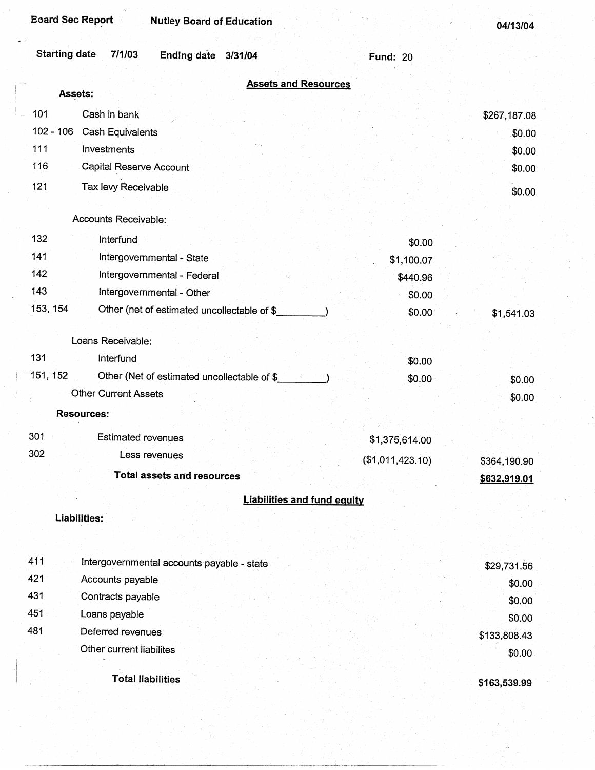| <b>Board Sec Report</b><br><b>Nutley Board of Education</b>                |                                    | 04/13/04     |
|----------------------------------------------------------------------------|------------------------------------|--------------|
| <b>Starting date</b><br>7/1/03<br><b>Ending date</b><br>3/31/04            | <b>Fund: 20</b>                    |              |
|                                                                            | <b>Assets and Resources</b>        |              |
| Assets:                                                                    |                                    |              |
| 101<br>Cash in bank                                                        |                                    | \$267,187.08 |
| $102 - 106$<br><b>Cash Equivalents</b>                                     |                                    | \$0.00       |
| 111<br>Investments                                                         |                                    | \$0.00       |
| 116<br><b>Capital Reserve Account</b>                                      |                                    | \$0.00       |
| 121<br>Tax levy Receivable                                                 |                                    | \$0.00       |
|                                                                            |                                    |              |
| Accounts Receivable:                                                       |                                    |              |
| 132<br>Interfund                                                           | \$0.00                             |              |
| 141<br>Intergovernmental - State                                           | \$1,100.07                         |              |
| 142<br>Intergovernmental - Federal                                         | \$440.96                           |              |
| 143<br>Intergovernmental - Other                                           | \$0.00                             |              |
| 153, 154<br>Other (net of estimated uncollectable of \$                    | \$0.00                             | \$1,541.03   |
| Loans Receivable:                                                          |                                    |              |
| 131<br>Interfund                                                           |                                    |              |
| 151, 152                                                                   | \$0.00                             |              |
| Other (Net of estimated uncollectable of \$<br><b>Other Current Assets</b> | \$0.00                             | \$0.00       |
|                                                                            |                                    | \$0.00       |
| <b>Resources:</b>                                                          |                                    |              |
| 301<br><b>Estimated revenues</b>                                           | \$1,375,614.00                     |              |
| 302<br>Less revenues                                                       | (\$1,011,423.10)                   | \$364,190.90 |
| <b>Total assets and resources</b>                                          |                                    | \$632,919.01 |
|                                                                            |                                    |              |
|                                                                            | <b>Liabilities and fund equity</b> |              |
| Liabilities:                                                               |                                    |              |
|                                                                            |                                    |              |
| 411<br>Intergovernmental accounts payable - state                          |                                    | \$29,731.56  |
| 421<br>Accounts payable                                                    |                                    | \$0.00       |
| 431<br>Contracts payable                                                   |                                    | \$0.00       |
| 451<br>Loans payable                                                       |                                    | \$0.00       |
| 481<br>Deferred revenues                                                   |                                    | \$133,808.43 |
| Other current liabilites                                                   |                                    | \$0.00       |
|                                                                            |                                    |              |
| <b>Total liabilities</b>                                                   |                                    | \$163,539.99 |

 $\ddot{\phantom{0}}$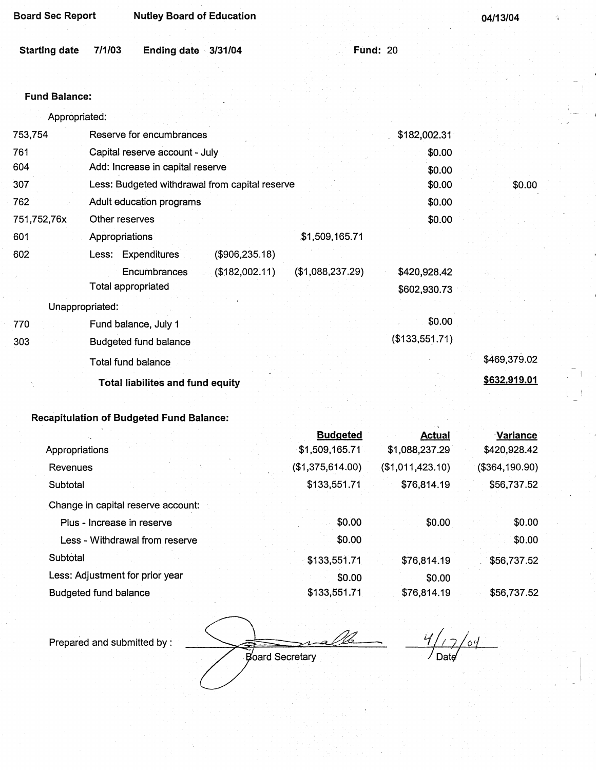| <b>Board Sec Report</b> | <b>Nutley Board of Education</b> |  |
|-------------------------|----------------------------------|--|
|                         |                                  |  |

 $3/31/04$ 

**04/13/04** 

Fund: 20

#### Fund **Balance:**

| Appropriated: |  |  |
|---------------|--|--|
|               |  |  |

| 753,754     | Reserve for encumbrances                       |                  | \$182,002.31   |              |
|-------------|------------------------------------------------|------------------|----------------|--------------|
| 761         | Capital reserve account - July                 |                  | \$0.00         |              |
| 604         | Add: Increase in capital reserve               |                  | \$0.00         |              |
| 307         | Less: Budgeted withdrawal from capital reserve |                  | \$0.00         | \$0.00       |
| 762         | Adult education programs                       |                  | \$0.00         |              |
| 751,752,76x | Other reserves                                 |                  | \$0.00         |              |
| 601         | Appropriations                                 | \$1,509,165.71   |                |              |
| 602         | Less: Expenditures<br>(\$906,235.18)           |                  |                |              |
|             | Encumbrances<br>(\$182,002.11)                 | (\$1,088,237.29) | \$420,928.42   |              |
|             | Total appropriated                             |                  | \$602,930.73   |              |
|             | Unappropriated:                                |                  |                |              |
| 770         | Fund balance, July 1                           |                  | \$0.00         |              |
| 303         | <b>Budgeted fund balance</b>                   |                  | (\$133,551.71) |              |
|             | Total fund balance                             |                  |                | \$469,379.02 |
|             | <b>Total liabilites and fund equity</b>        |                  |                | \$632,919.01 |
|             |                                                |                  |                |              |

## **Recapitulation of Budgeted** Fund **Balance:**

|                                    | <b>Budgeted</b>  | <b>Actual</b>    | <b>Variance</b> |
|------------------------------------|------------------|------------------|-----------------|
| Appropriations                     | \$1,509,165.71   | \$1,088,237.29   | \$420,928.42    |
| Revenues                           | (\$1,375,614.00) | (\$1,011,423.10) | (\$364,190.90)  |
| Subtotal                           | \$133,551.71     | \$76,814.19      | \$56,737.52     |
| Change in capital reserve account: |                  |                  |                 |
| Plus - Increase in reserve         | \$0.00           | \$0.00           | \$0.00          |
| Less - Withdrawal from reserve     | \$0.00           |                  | \$0.00          |
| Subtotal                           | \$133,551.71     | \$76,814.19      | \$56,737.52     |
| Less: Adjustment for prior year    | \$0.00           | \$0.00           |                 |
| <b>Budgeted fund balance</b>       | \$133,551.71     | \$76,814.19      | \$56,737.52     |

Prepared and submitted by :

 $\mathcal{C}_{\phi}$  $\overline{}/\overline{$  Date

Board Secretary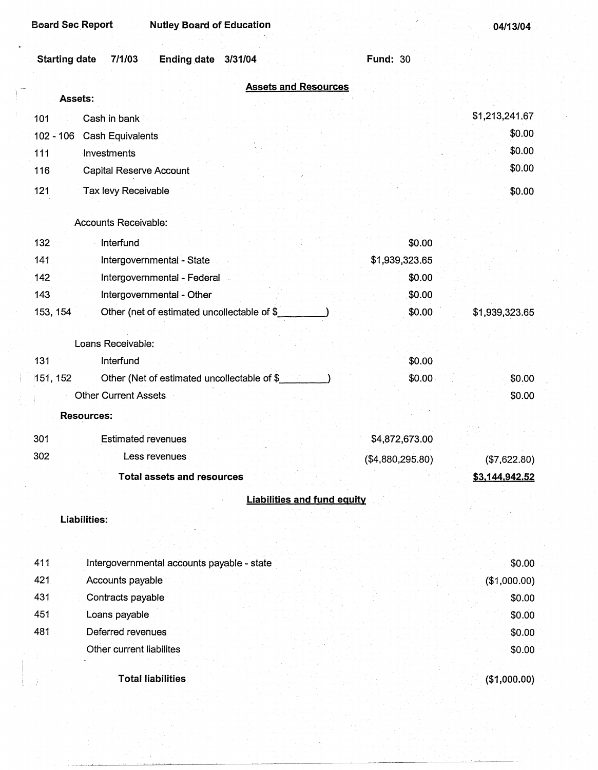| <b>Board Sec Report</b><br><b>Nutley Board of Education</b>     |                  | 04/13/04       |
|-----------------------------------------------------------------|------------------|----------------|
| <b>Starting date</b><br>7/1/03<br><b>Ending date</b><br>3/31/04 | <b>Fund: 30</b>  |                |
| <b>Assets and Resources</b>                                     |                  |                |
| Assets:                                                         |                  |                |
| Cash in bank<br>101                                             |                  | \$1,213,241.67 |
| $102 - 106$<br>Cash Equivalents                                 |                  | \$0.00         |
| 111<br>Investments                                              |                  | \$0.00         |
| 116<br>Capital Reserve Account                                  |                  | \$0.00         |
| 121<br>Tax levy Receivable                                      |                  | \$0.00         |
|                                                                 |                  |                |
| Accounts Receivable:                                            |                  |                |
| 132<br>Interfund                                                | \$0.00           |                |
| 141<br>Intergovernmental - State                                | \$1,939,323.65   |                |
| 142<br>Intergovernmental - Federal                              | \$0.00           |                |
| 143<br>Intergovernmental - Other                                | \$0.00           |                |
| 153, 154<br>Other (net of estimated uncollectable of \$_        | \$0.00           | \$1,939,323.65 |
| Loans Receivable:                                               |                  |                |
| 131<br>Interfund                                                | \$0.00           |                |
| Other (Net of estimated uncollectable of \$<br>151, 152         | \$0.00           | \$0.00         |
| <b>Other Current Assets</b>                                     |                  | \$0.00         |
| <b>Resources:</b>                                               |                  |                |
|                                                                 |                  |                |
| 301<br><b>Estimated revenues</b>                                | \$4,872,673.00   |                |
| 302<br>Less revenues                                            | (\$4,880,295.80) | (\$7,622.80)   |
| <b>Total assets and resources</b>                               |                  | \$3,144,942.52 |
| <b>Liabilities and fund equity</b>                              |                  |                |
| Liabilities:                                                    |                  |                |
|                                                                 |                  |                |
|                                                                 |                  |                |
| 411<br>Intergovernmental accounts payable - state               |                  | \$0.00         |
| 421<br>Accounts payable                                         |                  | (\$1,000.00)   |
| 431<br>Contracts payable                                        |                  | \$0.00         |
| 451<br>Loans payable                                            |                  | \$0.00         |
| 481<br>Deferred revenues                                        |                  | \$0.00         |
| Other current liabilites                                        |                  | \$0.00         |
| <b>Total liabilities</b>                                        |                  | (\$1,000.00)   |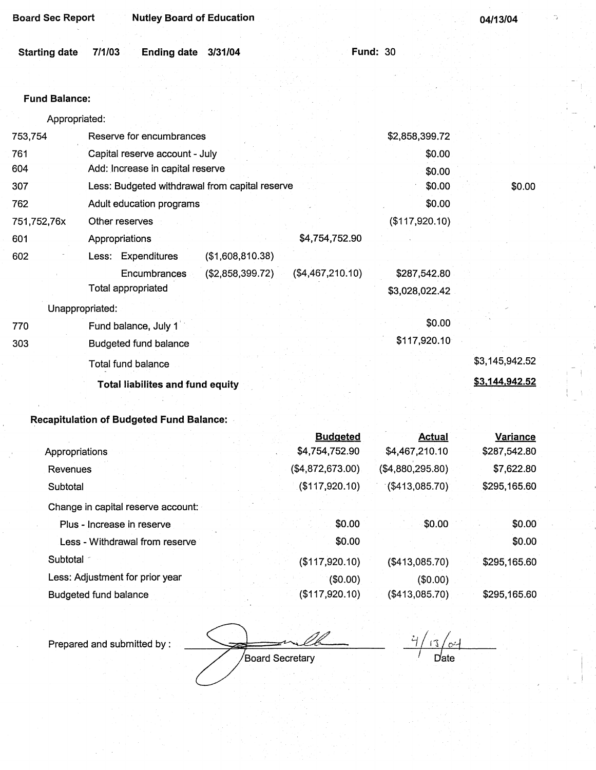**04/13/04** 

| Starting date 7/1/03 Ending date 3/31/04 |  | <b>Fund: 30</b> |  |
|------------------------------------------|--|-----------------|--|
|                                          |  |                 |  |

### **Fund Balance:**

| Appropriated: |                                                      |                |                |
|---------------|------------------------------------------------------|----------------|----------------|
| 753,754       | Reserve for encumbrances                             | \$2,858,399.72 |                |
| 761           | Capital reserve account - July                       | \$0.00         |                |
| 604           | Add: Increase in capital reserve                     | \$0.00         |                |
| 307           | Less: Budgeted withdrawal from capital reserve       | \$0.00         | \$0.00         |
| 762           | Adult education programs                             | \$0.00         |                |
| 751,752,76x   | Other reserves                                       | (\$117,920.10) |                |
| 601           | \$4,754,752.90<br>Appropriations                     |                |                |
| 602           | Less: Expenditures<br>(\$1,608,810.38)               |                |                |
|               | (\$4,467,210.10)<br>(\$2,858,399.72)<br>Encumbrances | \$287,542.80   |                |
|               | Total appropriated                                   | \$3,028,022.42 |                |
|               | Unappropriated:                                      |                |                |
| 770           | Fund balance, July 1                                 | \$0.00         |                |
| 303           | <b>Budgeted fund balance</b>                         | \$117,920.10   |                |
|               | <b>Total fund balance</b>                            |                | \$3,145,942.52 |
|               | <b>Total liabilites and fund equity</b>              |                | \$3,144,942.52 |

# **Recapitulation of Budgeted** Fund **Balance:**

|                                    | <b>Budgeted</b>  | Actual            | Variance     |
|------------------------------------|------------------|-------------------|--------------|
| Appropriations                     | \$4,754,752.90   | \$4,467,210.10    | \$287,542.80 |
| Revenues                           | (\$4,872,673.00) | (\$4,880,295.80)  | \$7,622.80   |
| Subtotal                           | (\$117,920.10)   | $($ \$413,085.70) | \$295,165.60 |
| Change in capital reserve account: |                  |                   |              |
| Plus - Increase in reserve         | \$0.00           | \$0.00            | \$0.00       |
| Less - Withdrawal from reserve     | \$0.00           |                   | \$0.00       |
| Subtotal                           | (\$117,920.10)   | (\$413,085.70)    | \$295,165.60 |
| Less: Adjustment for prior year    | (\$0.00)         | (\$0.00)          |              |
| <b>Budgeted fund balance</b>       | (\$117,920.10)   | (\$413,085.70)    | \$295,165.60 |

Prepared and submitted by :

*d*ate

Board Secretary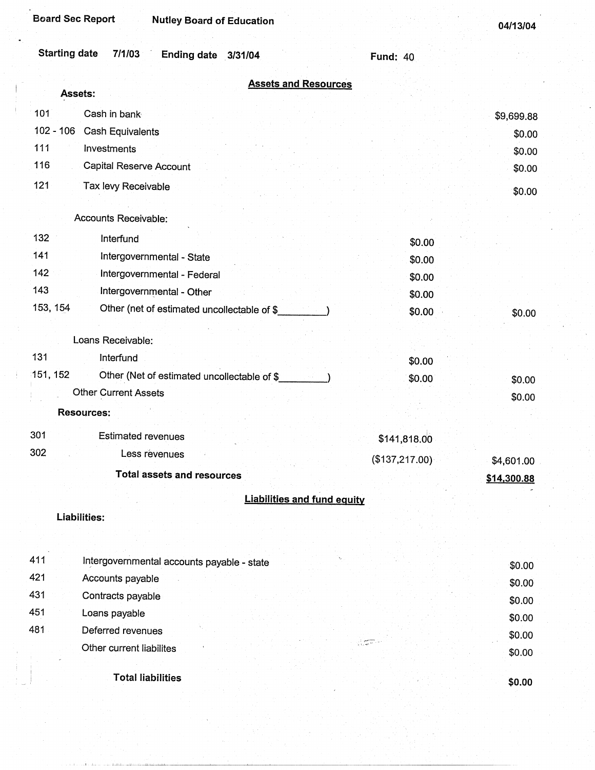| <b>Board Sec Report</b><br><b>Nutley Board of Education</b>                 |                 | 04/13/04    |
|-----------------------------------------------------------------------------|-----------------|-------------|
| <b>Starting date</b><br>7/1/03<br>Ending date 3/31/04                       | <b>Fund: 40</b> |             |
| <b>Assets and Resources</b><br>Assets:                                      |                 |             |
| 101<br>Cash in bank                                                         |                 |             |
| $102 - 106$<br><b>Cash Equivalents</b>                                      |                 | \$9,699.88  |
| 111<br>Investments                                                          |                 | \$0.00      |
| 116<br>Capital Reserve Account                                              |                 | \$0.00      |
| 121                                                                         |                 | \$0.00      |
| Tax levy Receivable                                                         |                 | \$0.00      |
| Accounts Receivable:                                                        |                 |             |
| 132<br>Interfund                                                            | \$0.00          |             |
| 141<br>Intergovernmental - State                                            | \$0.00          |             |
| 142<br>Intergovernmental - Federal                                          | \$0.00          |             |
| 143<br>Intergovernmental - Other                                            | \$0.00          |             |
| 153, 154<br>Other (net of estimated uncollectable of \$                     | \$0.00          | \$0.00      |
|                                                                             |                 |             |
| Loans Receivable:<br>131                                                    |                 |             |
| <b>Interfund</b><br>151, 152                                                | \$0.00          |             |
| Other (Net of estimated uncollectable of \$_<br><b>Other Current Assets</b> | \$0.00          | \$0.00      |
|                                                                             |                 | \$0.00      |
| <b>Resources:</b>                                                           |                 |             |
| 301<br><b>Estimated revenues</b>                                            | \$141,818.00    |             |
| 302<br>Less revenues                                                        | (\$137,217.00)  | \$4,601.00  |
| <b>Total assets and resources</b>                                           |                 | \$14,300.88 |
| <b>Liabilities and fund equity</b>                                          |                 |             |
| Liabilities:                                                                |                 |             |
|                                                                             |                 |             |
|                                                                             |                 |             |
| 411<br>Intergovernmental accounts payable - state                           |                 | \$0.00      |
| 421<br>Accounts payable                                                     |                 | \$0.00      |
| 431<br>Contracts payable                                                    |                 | \$0.00      |
| 451<br>Loans payable                                                        |                 | \$0.00      |
| 481<br>Deferred revenues                                                    |                 | \$0.00      |
| Other current liabilites                                                    |                 | \$0.00      |
| <b>Total liabilities</b>                                                    |                 |             |
|                                                                             |                 | \$0.00      |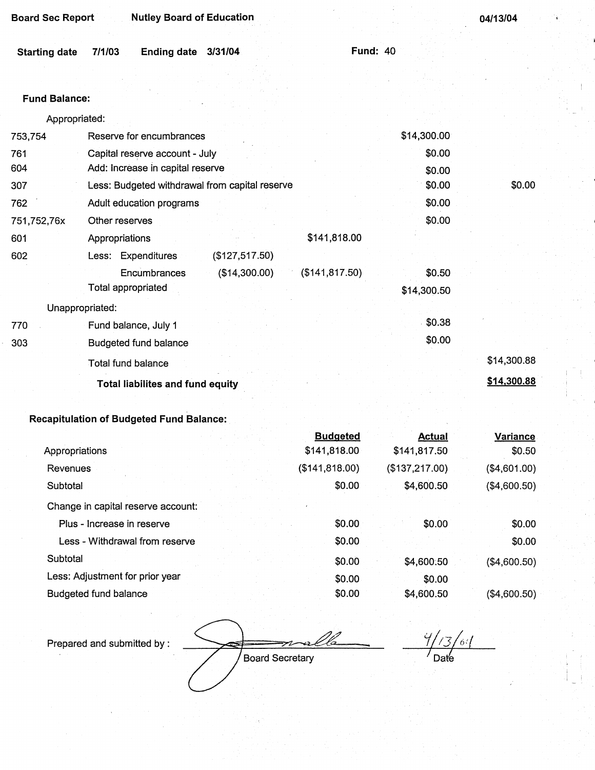| <b>Board Sec Report</b> | Nutley Board of Education |  |  | 04/13/04 |
|-------------------------|---------------------------|--|--|----------|
|                         |                           |  |  |          |

| Starting date 7/1/03 | Ending date 3/31/04 |  | Fund: 40 |
|----------------------|---------------------|--|----------|
|                      |                     |  |          |

### **Fund Balance:**

| Appropriated: |                                                  |             |             |
|---------------|--------------------------------------------------|-------------|-------------|
| 753,754       | Reserve for encumbrances                         | \$14,300.00 |             |
| 761           | Capital reserve account - July                   | \$0.00      |             |
| 604           | Add: Increase in capital reserve                 | \$0.00      |             |
| 307           | Less: Budgeted withdrawal from capital reserve   | \$0.00      | \$0.00      |
| 762           | Adult education programs                         | \$0.00      |             |
| 751,752,76x   | Other reserves                                   | \$0.00      |             |
| 601           | \$141,818.00<br>Appropriations                   |             |             |
| 602           | (\$127,517.50)<br>Less: Expenditures             |             |             |
|               | (\$14,300.00)<br>(\$141, 817.50)<br>Encumbrances | \$0.50      |             |
|               | Total appropriated                               | \$14,300.50 |             |
|               | Unappropriated:                                  |             |             |
| 770           | Fund balance, July 1                             | \$0.38      |             |
| 303           | <b>Budgeted fund balance</b>                     | \$0.00      |             |
|               | Total fund balance                               |             | \$14,300.88 |
|               | <b>Total liabilites and fund equity</b>          |             | \$14,300.88 |

## **Recapitulation of Budgeted Fund Balance:**

|                                    | <b>Budgeted</b> | <b>Actual</b>  | Variance     |
|------------------------------------|-----------------|----------------|--------------|
| Appropriations                     | \$141,818.00    | \$141,817.50   | \$0.50       |
| Revenues                           | (\$141, 818.00) | (\$137,217.00) | (\$4,601.00) |
| Subtotal                           | \$0.00          | \$4,600.50     | (\$4,600.50) |
| Change in capital reserve account: |                 |                |              |
| Plus - Increase in reserve         | \$0.00          | \$0.00         | \$0.00       |
| Less - Withdrawal from reserve     | \$0.00          |                | \$0.00       |
| Subtotal                           | \$0.00          | \$4,600.50     | (\$4,600.50) |
| Less: Adjustment for prior year    | \$0.00          | \$0.00         |              |
| <b>Budgeted fund balance</b>       | \$0.00          | \$4,600.50     | (\$4,600.50) |

Prepared and submitted by:

Board Secretary

 $\frac{4}{3}/\frac{3}{64}$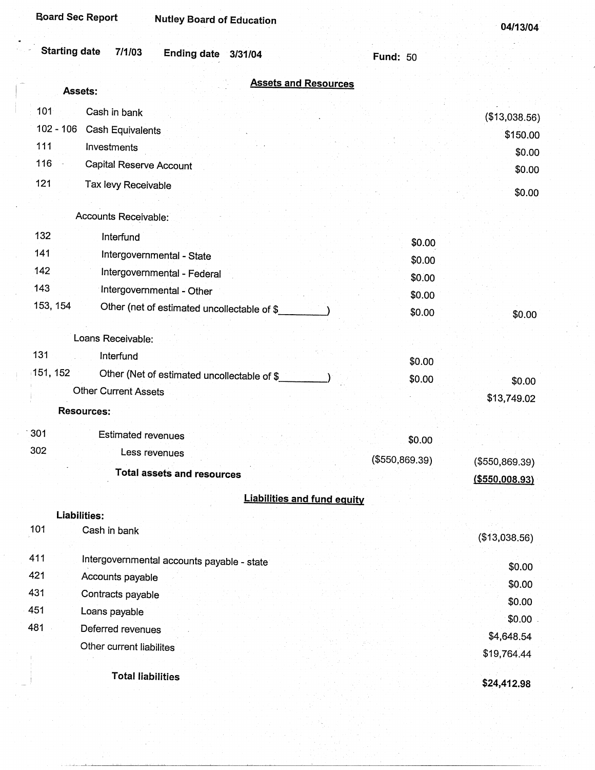| <b>Board Sec Report</b><br><b>Nutley Board of Education</b>                |                 | 04/13/04          |
|----------------------------------------------------------------------------|-----------------|-------------------|
| <b>Starting date</b><br>7/1/03<br><b>Ending date</b><br>3/31/04            | <b>Fund: 50</b> |                   |
| <b>Assets and Resources</b><br>Assets:                                     |                 |                   |
|                                                                            |                 |                   |
| 101<br>Cash in bank                                                        |                 | (\$13,038.56)     |
| $102 - 106$<br>Cash Equivalents                                            |                 | \$150.00          |
| 111<br>Investments<br>116                                                  |                 | \$0.00            |
| Capital Reserve Account                                                    |                 | \$0.00            |
| 121<br>Tax levy Receivable                                                 |                 | \$0.00            |
|                                                                            |                 |                   |
| Accounts Receivable:                                                       |                 |                   |
| 132<br>Interfund                                                           | \$0.00          |                   |
| 141<br>Intergovernmental - State                                           | \$0.00          |                   |
| 142<br>Intergovernmental - Federal                                         | \$0.00          |                   |
| 143<br>Intergovernmental - Other                                           | \$0.00          |                   |
| 153, 154<br>Other (net of estimated uncollectable of \$                    | \$0.00          | \$0.00            |
| Loans Receivable:                                                          |                 |                   |
| 131<br>Interfund                                                           |                 |                   |
| 151, 152                                                                   | \$0.00          |                   |
| Other (Net of estimated uncollectable of \$<br><b>Other Current Assets</b> | \$0.00          | \$0.00            |
|                                                                            |                 | \$13,749.02       |
| <b>Resources:</b>                                                          |                 |                   |
| 301<br><b>Estimated revenues</b>                                           | \$0.00          |                   |
| 302<br>Less revenues                                                       | (\$550,869.39)  | (\$550,869.39)    |
| <b>Total assets and resources</b>                                          |                 | $($ \$550,008.93) |
|                                                                            |                 |                   |
| <b>Liabilities and fund equity</b><br><b>Liabilities:</b>                  |                 |                   |
| 101<br>Cash in bank                                                        |                 |                   |
|                                                                            |                 | (\$13,038.56)     |
| 411<br>Intergovernmental accounts payable - state                          |                 | \$0.00            |
| 421<br>Accounts payable                                                    |                 | \$0.00            |
| 431<br>Contracts payable                                                   |                 | \$0.00            |
| 451<br>Loans payable                                                       |                 | \$0.00            |
| 481<br>Deferred revenues                                                   |                 | \$4,648.54        |
| Other current liabilites                                                   |                 | \$19,764.44       |
|                                                                            |                 |                   |
| <b>Total liabilities</b>                                                   |                 | \$24,412.98       |

 $\frac{1}{2}$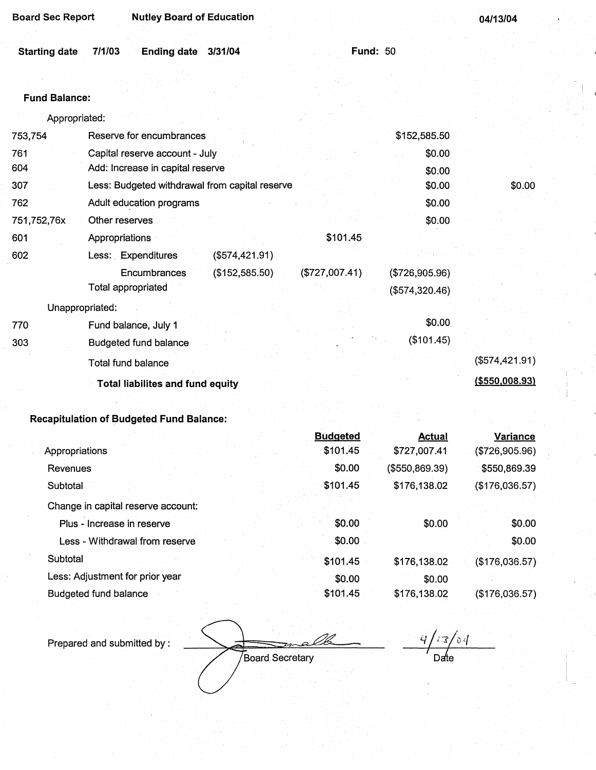| <b>Board Sec Report</b> | <b>Nutley Board of Education</b>               |                 |              | 04/13/04 |
|-------------------------|------------------------------------------------|-----------------|--------------|----------|
| <b>Starting date</b>    | 7/1/03<br><b>Ending date</b><br>3/31/04        | <b>Fund: 50</b> |              |          |
| <b>Fund Balance:</b>    |                                                |                 |              |          |
| Appropriated:           |                                                |                 |              |          |
| 753,754                 | Reserve for encumbrances                       |                 | \$152,585.50 |          |
| 761                     | Capital reserve account - July                 |                 | \$0.00       |          |
| 604                     | Add: Increase in capital reserve               |                 | \$0.00       |          |
| 307                     | Less: Budgeted withdrawal from capital reserve |                 | \$0.00       | \$0.00   |
| 762                     | Adult education programs                       |                 | \$0.00       |          |
| 751,752,76x             | Other reserves                                 |                 | \$0.00       |          |
| 601                     | Appropriations                                 | \$101.45        |              |          |

Encumbrances (\$152,585.50) (\$727,007.41) . (\$726,905.96)

Total appropriated (\$574,320.46)

The Fund balance, July 1  $\sim$  50.00 303 Budgeted fund balance (\$101 .45)

Total fund balance (\$574,421.91)

**Total liabilites and fund equity (\$550,008.93}** 

### **Recapitulation of Budgeted Fund Balance:**

Unappropriated:

602 Less: Expenditures (\$574,421.91)

|                                    | <b>Budgeted</b> | <b>Actual</b>  | Variance       |
|------------------------------------|-----------------|----------------|----------------|
| Appropriations                     | \$101.45        | \$727,007.41   | (\$726,905.96) |
| Revenues                           | \$0.00          | (\$550,869.39) | \$550,869.39   |
| Subtotal                           | \$101.45        | \$176,138.02   | (\$176,036.57) |
| Change in capital reserve account: |                 |                |                |
| Plus - Increase in reserve         | \$0.00          | \$0.00         | \$0.00         |
| Less - Withdrawal from reserve     | \$0.00          |                | \$0.00         |
| Subtotal                           | \$101.45        | \$176,138.02   | (\$176,036.57) |
| Less: Adjustment for prior year    | \$0.00          | \$0.00         |                |
| Budgeted fund balance              | \$101.45        | \$176,138.02   | (\$176,036.57) |

Prepared and submitted by :

**Board Secretary** 

 $\frac{9}{2^{13}/2}$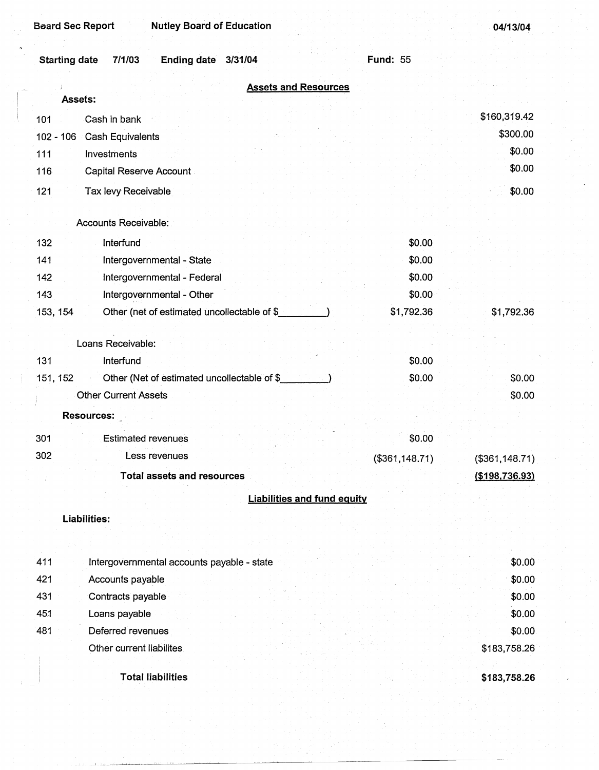| <b>Nutley Board of Education</b><br><b>Beard Sec Report</b>     |                 | 04/13/04        |
|-----------------------------------------------------------------|-----------------|-----------------|
| <b>Ending date</b><br><b>Starting date</b><br>7/1/03<br>3/31/04 | <b>Fund: 55</b> |                 |
| <b>Assets and Resources</b>                                     |                 |                 |
| Assets:                                                         |                 |                 |
| Cash in bank<br>101                                             |                 | \$160,319.42    |
| $102 - 106$<br>Cash Equivalents                                 |                 | \$300.00        |
| Investments<br>111                                              |                 | \$0.00          |
| 116<br><b>Capital Reserve Account</b>                           |                 | \$0.00          |
| 121<br>Tax levy Receivable                                      |                 | \$0.00          |
|                                                                 |                 |                 |
| Accounts Receivable:                                            |                 |                 |
| Interfund<br>132                                                | \$0.00          |                 |
| 141<br>Intergovernmental - State                                | \$0.00          |                 |
| 142<br>Intergovernmental - Federal                              | \$0.00          |                 |
| Intergovernmental - Other<br>143                                | \$0.00          |                 |
| 153, 154<br>Other (net of estimated uncollectable of \$_        | \$1,792.36      | \$1,792.36      |
|                                                                 |                 |                 |
| Loans Receivable:                                               |                 |                 |
| 131<br>Interfund                                                | \$0.00          |                 |
| Other (Net of estimated uncollectable of \$<br>151, 152         | \$0.00          | \$0.00          |
| <b>Other Current Assets</b>                                     |                 | \$0.00          |
| <b>Resources:</b>                                               |                 |                 |
| 301<br><b>Estimated revenues</b>                                | \$0.00          |                 |
| 302<br>Less revenues                                            | (\$361,148.71)  | (\$361, 148.71) |
| <b>Total assets and resources</b>                               |                 | (\$198,736.93)  |
| <b>Liabilities and fund equity</b>                              |                 |                 |
| <b>Liabilities:</b>                                             |                 |                 |
|                                                                 |                 |                 |
|                                                                 |                 |                 |
| 411<br>Intergovernmental accounts payable - state               |                 | \$0.00          |
| 421<br>Accounts payable                                         |                 | \$0.00          |
| 431<br>Contracts payable                                        |                 | \$0.00          |
| 451<br>Loans payable                                            |                 | \$0.00          |
| 481<br>Deferred revenues                                        |                 | \$0.00          |
| Other current liabilites                                        |                 | \$183,758.26    |
| <b>Total liabilities</b>                                        |                 |                 |
|                                                                 |                 | \$183,758.26    |